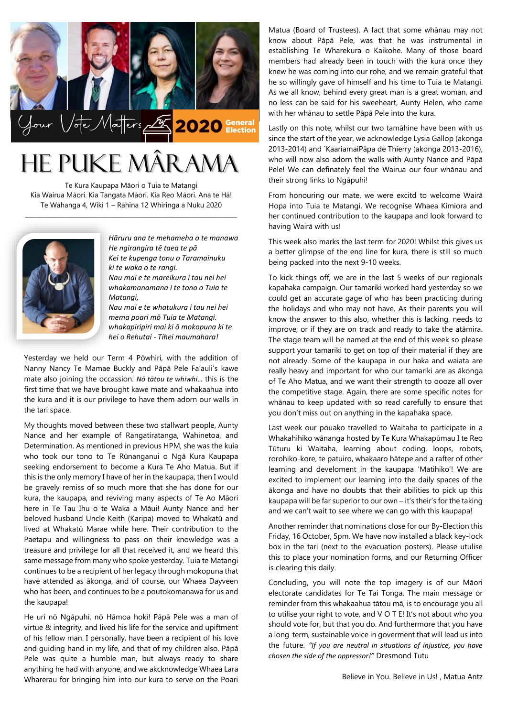

# He Puke Mârama

Te Kura Kaupapa Māori o Tuia te Matangi Kia Wairua Māori. Kia Tangata Māori. Kia Reo Māori. Ana te Hā! Te Wāhanga 4, Wiki 1 – Rāhina 12 Whiringa ā Nuku 2020

\_\_\_\_\_\_\_\_\_\_\_\_\_\_\_\_\_\_\_\_\_\_\_\_\_\_\_\_\_\_\_\_\_\_\_\_\_\_\_\_\_\_\_\_\_\_\_\_\_\_\_\_\_\_\_\_\_\_\_\_\_\_\_\_\_\_\_\_\_\_\_\_\_\_\_



*Hāruru ana te mehameha o te manawa He ngirangira tē taea te pā Kei te kupenga tonu o Taramainuku ki te waka o te rangi. Nau mai e te mareikura i tau nei hei whakamanamana i te tono o Tuia te* 

*Matangi, Nau mai e te whatukura i tau nei hei mema poari mō Tuia te Matangi. whakapiripiri mai ki ō mokopuna ki te hei o Rehutai - Tihei maumahara!*

Yesterday we held our Term 4 Pōwhiri, with the addition of Nanny Nancy Te Mamae Buckly and Pāpā Pele Fa'auli's kawe mate also joining the occassion. *Nō tātou te whiwhi*... this is the first time that we have brought kawe mate and whakaahua into the kura and it is our privilege to have them adorn our walls in the tari space.

My thoughts moved between these two stallwart people, Aunty Nance and her example of Rangatiratanga, Wahinetoa, and Determination. As mentioned in previous HPM, she was the kuia who took our tono to Te Rūnanganui o Ngā Kura Kaupapa seeking endorsement to become a Kura Te Aho Matua. But if this is the only memory I have of her in the kaupapa, then I would be gravely remiss of so much more that she has done for our kura, the kaupapa, and reviving many aspects of Te Ao Māori here in Te Tau Ihu o te Waka a Māui! Aunty Nance and her beloved husband Uncle Keith (Karipa) moved to Whakatū and lived at Whakatū Marae while here. Their contribution to the Paetapu and willingness to pass on their knowledge was a treasure and privilege for all that received it, and we heard this same message from many who spoke yesterday. Tuia te Matangi continues to be a recipient of her legacy through mokopuna that have attended as ākonga, and of course, our Whaea Dayveen who has been, and continues to be a poutokomanawa for us and the kaupapa!

He uri nō Ngāpuhi, nō Hāmoa hoki! Pāpā Pele was a man of virtue & integrity, and lived his life for the service and upiftment of his fellow man. I personally, have been a recipient of his love and guiding hand in my life, and that of my children also. Pāpā Pele was quite a humble man, but always ready to share anything he had with anyone, and we akcknowledge Whaea Lara Wharerau for bringing him into our kura to serve on the Poari

Matua (Board of Trustees). A fact that some whānau may not know about Pāpā Pele, was that he was instrumental in establishing Te Wharekura o Kaikohe. Many of those board members had already been in touch with the kura once they knew he was coming into our rohe, and we remain grateful that he so willingly gave of himself and his time to Tuia te Matangi. As we all know, behind every great man is a great woman, and no less can be said for his sweeheart, Aunty Helen, who came with her whānau to settle Pāpā Pele into the kura.

Lastly on this note, whilst our two tamāhine have been with us since the start of the year, we acknowledge Lysia Gallop (akonga 2013-2014) and `KaariamaiPāpa de Thierry (akonga 2013-2016), who will now also adorn the walls with Aunty Nance and Pāpā Pele! We can definately feel the Wairua our four whānau and their strong links to Ngāpuhi!

From honouring our mate, we were excitd to welcome Wairā Hopa into Tuia te Matangi. We recognise Whaea Kimiora and her continued contribution to the kaupapa and look forward to having Wairā with us!

This week also marks the last term for 2020! Whilst this gives us a better glimpse of the end line for kura, there is still so much being packed into the next 9-10 weeks.

To kick things off, we are in the last 5 weeks of our regionals kapahaka campaign. Our tamariki worked hard yesterday so we could get an accurate gage of who has been practicing during the holidays and who may not have. As their parents you will know the answer to this also, whether this is lacking, needs to improve, or if they are on track and ready to take the atāmira. The stage team will be named at the end of this week so please support your tamariki to get on top of their material if they are not already. Some of the kaupapa in our haka and waiata are really heavy and important for who our tamariki are as ākonga of Te Aho Matua, and we want their strength to oooze all over the competitive stage. Again, there are some specific notes for whānau to keep updated with so read carefully to ensure that you don't miss out on anything in the kapahaka space.

Last week our pouako travelled to Waitaha to participate in a Whakahihiko wānanga hosted by Te Kura Whakapūmau I te Reo Tūturu ki Waitaha, learning about coding, loops, robots, rorohiko-kore, te patuiro, whakaaro hātepe and a rafter of other learning and develoment in the kaupapa 'Matihiko'! We are excited to implement our learning into the daily spaces of the ākonga and have no doubts that their abilities to pick up this kaupapa will be far superior to our own – it's their's for the taking and we can't wait to see where we can go with this kaupapa!

Another reminder that nominations close for our By-Election this Friday, 16 October, 5pm. We have now installed a black key-lock box in the tari (next to the evacuation posters). Please utulise this to place your nomination forms, and our Returning Officer is clearing this daily.

Concluding, you will note the top imagery is of our Māori electorate candidates for Te Tai Tonga. The main message or reminder from this whakaahua tātou mā, is to encourage you all to utilise your right to vote, and V O T E! It's not about who you should vote for, but that you do. And furthermore that you have a long-term, sustainable voice in goverment that will lead us into the future. *"If you are neutral in situations of injustice, you have chosen the side of the oppressor!"* Dresmond Tutu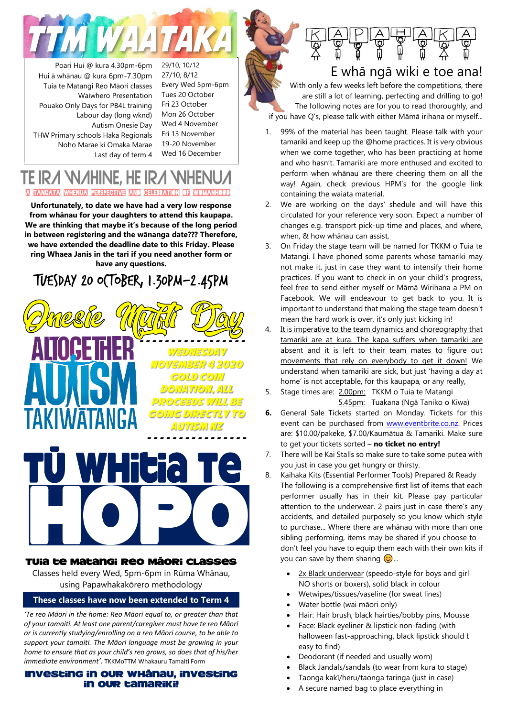

Poari Hui @ kura 4.30pm-6pm Hui ā whānau @ kura 6pm-7.30pm Tuia te Matangi Reo Māori classes Waiwhero Presentation Pouako Only Days for PB4L training Labour day (long wknd) Autism Onesie Day THW Primary schools Haka Regionals Noho Marae ki Omaka Marae Last day of term 4

29/10, 10/12 27/10, 8/12 Every Wed 5pm-6pm Tues 20 October Fri 23 October Mon 26 October Wed 4 November Fri 13 November 19-20 November Wed 16 December

### TE IRA WAHINE, HE IRA WH A TANGATA WHENUA PERSPECTIVE AND CELEBRATION OF WOMANHOOD

**Unfortunately, to date we have had a very low response from whānau for your daughters to attend this kaupapa. We are thinking that maybe it's because of the long period in between registering and the wānanga date??? Therefore, we have extended the deadline date to this Friday. Please ring Whaea Janis in the tari if you need another form or have any questions.**

# TUESDAY 20 OCTOBER, 1.30pm-2.45pm





#### Tuia te Matangi Reo Māori Classes

Classes held every Wed, 5pm-6pm in Rūma Whānau, using Papawhakakōrero methodology

#### **These classes have now been extended to Term 4**

*'Te reo Māori in the home: Reo Māori equal to, or greater than that of your tamaiti. At least one parent/caregiver must have te reo Māori or is currently studying/enrolling on a reo Māori course, to be able to support your tamaiti. The Māori language must be growing in your home to ensure that as your child's reo grows, so does that of his/her immediate environment'.* TKKMoTTM Whakauru Tamaiti Form

#### Investing in our whānau, investing in our tamariki!



E whā ngā wiki e toe ana!

With only a few weeks left before the competitions, there are still a lot of learning, perfecting and drilling to go! The following notes are for you to read thoroughly, and if you have Q's, please talk with either Māmā irihana or myself...

- 1. 99% of the material has been taught. Please talk with your tamariki and keep up the @home practices. It is very obvious when we come together, who has been practicing at home and who hasn't. Tamariki are more enthused and excited to perform when whānau are there cheering them on all the way! Again, check previous HPM's for the google link containing the waiata material,
- 2. We are working on the days' shedule and will have this circulated for your reference very soon. Expect a number of changes e.g. transport pick-up time and places, and where, when, & how whānau can assist,
- 3. On Friday the stage team will be named for TKKM o Tuia te Matangi. I have phoned some parents whose tamariki may not make it, just in case they want to intensify their home practices. If you want to check in on your child's progress, feel free to send either myself or Māmā Wirihana a PM on Facebook. We will endeavour to get back to you. It is important to understand that making the stage team doesn't mean the hard work is over, it's only just kicking in!
- 4. It is imperative to the team dynamics and choreography that tamariki are at kura. The kapa suffers when tamariki are absent and it is left to their team mates to figure out movements that rely on everybody to get it down! We understand when tamariki are sick, but just 'having a day at home' is not acceptable, for this kaupapa, or any really,
- 5. Stage times are: 2.00pm: TKKM o Tuia te Matangi 5.45pm: Tuakana (Ngā Taniko o Kiwa)
- **6.** General Sale Tickets started on Monday. Tickets for this event can be purchased from [www.eventbrite.co.nz.](http://www.eventbrite.co.nz/) Prices are: \$10.00/pakeke, \$7.00/Kaumātua & Tamariki. Make sure to get your tickets sorted – **no ticket no entry!**
- 7. There will be Kai Stalls so make sure to take some putea with you just in case you get hungry or thirsty.
- 8. Kaihaka Kits (Essential Performer Tools) Prepared & Ready The following is a comprehensive first list of items that each performer usually has in their kit. Please pay particular attention to the underwear. 2 pairs just in case there's any accidents, and detailed purposely so you know which style to purchase... Where there are whānau with more than one sibling performing, items may be shared if you choose to  $$ don't feel you have to equip them each with their own kits if you can save by them sharing  $\odot$ ...
	- 2x Black underwear (speedo-style for boys and girl NO shorts or boxers), solid black in colour
	- Wetwipes/tissues/vaseline (for sweat lines)
	- Water bottle (wai māori only)
	- Hair: Hair brush, black hairties/bobby pins, Mousse
	- Face: Black eyeliner & lipstick non-fading (with halloween fast-approaching, black lipstick should k easy to find)
	- Deodorant (if needed and usually worn)
	- Black Jandals/sandals (to wear from kura to stage)
	- Taonga kakī/heru/taonga taringa (just in case)
	- A secure named bag to place everything in